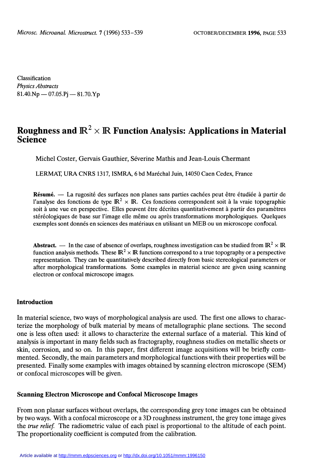Classification Physics Abstracts  $81.40 \text{Np} - 07.05 \text{P}$ j - 81.70.Yp

# Roughness and  $\mathbb{R}^2 \times \mathbb{R}$  Function Analysis: Applications in Material **Science**

Michel Coster, Gervais Gauthier, Séverine Mathis and Jean-Louis Chermant

LERMAT, URA CNRS 1317, ISMRA, 6 bd Maréchal Juin, 14050 Caen Cedex, France

Résumé. — La rugosité des surfaces non planes sans parties cachées peut être étudiée à partir de l'analyse des fonctions de type  $\mathbb{R}^2 \times \mathbb{R}$ . Ces fonctions correspondent soit à la vraie topographie soit à une vue en perspective. Elles peuvent être décrites quantitativement à partir des paramètres stéréologiques de base sur l'image elle même ou après transformations morphologiques. Quelques exemples sont donnés en sciences des matériaux en utilisant un MEB ou un microscope confocal.

**Abstract.** — In the case of absence of overlaps, roughness investigation can be studied from  $\mathbb{R}^2 \times \mathbb{R}$ function analysis methods. These  $\mathbb{R}^2 \times \mathbb{R}$  functions correspond to a true topography or a perspective representation. They can be quantitatively described directly from basic stereological parameters or after morphological transformations. Some examples in material science are given using scanning electron or confocal microscope images.

## Introduction

In material science, two ways of morphological analysis are used. The first one allows to characterize the morphology of bulk material by means of metallographic plane sections. The second one is less often used: it allows to characterize the external surface of a material. This kind of analysis is important in many fields such as fractography, roughness studies on metallic sheets or skin, corrosion, and so on. In this paper, first different image acquisitions will be briefly commented. Secondly, the main parameters and morphological functions with their properties will be presented. Finally some examples with images obtained by scanning electron microscope (SEM) or confocal microscopes will be given.

#### Scanning Electron Microscope and Confocal Microscope Images

From non planar surfaces without overlaps, the corresponding grey tone images can be obtained by two ways. With a confocal microscope or a 3D roughness instrument, the grey tone image gives the true relief. The radiometric value of each pixel is proportional to the altitude of each point. The proportionality coefficient is computed from the calibration.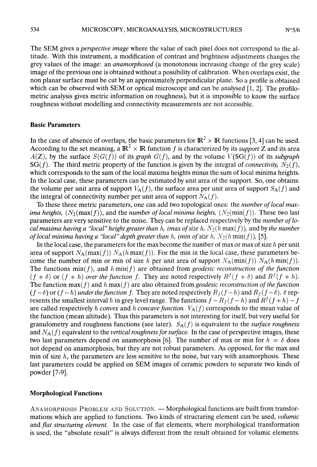The SEM gives a *perspective image* where the value of each pixel does not correspond to the altitude. With this instrument, a modification of contrast and brightness adjustments changes the grey values of the image: an anamorphosed (a monotonous increasing change of the grey scale) image of the previous one is obtained without a possibility of calibration. When overlaps exist, the non planar surface must be cut by an approximately perpendicular plane. So a profile is obtained which can be observed with SEM or optical microscope and can be analysed [1, 2]. The profilometric analysis gives metric information on roughness), but it is impossible to know the surface roughness without modelling and connectivity measurements are not accessible.

#### Basic Parameters

In the case of absence of overlaps, the basic parameters for  $\mathbb{R}^2 \times \mathbb{R}$  functions [3, 4] can be used. According to the set meaning, a  $\mathbb{R}^2 \times \mathbb{R}$  function f is characterized by its *support* Z and its area  $A(Z)$ , by the surface  $S(G(f))$  of its graph  $G(f)$ , and by the volume  $V(SG(f))$  of its subgraph  $SG(f)$ . The third metric property of the function is given by the integral of *connectivity*,  $\overline{N_2(f)}$ , which corresponds to the sum of the local maxima heights minus the sum of local minima heights. In the local case, these parameters can be estimated by unit area of the support. So, one obtains: the volume per unit area of support  $V_A(f)$ , the surface area per unit area of support  $S_A(f)$  and the integral of connectivity number per unit area of support  $N_A(f)$ .

To these three metric parameters, one can add two topological ones: the *number of local max*ima heights,  $(N_2(\max(f))$ , and the number of local minima heights,  $(N_2(\min(f)))$ . These two last parameters are very sensitive to the noise. They can be replaced respectively by the number of local maxima having a "local" height greater than h, (max of size h,  $N_2(h \max(f))$ ), and by the number of local minima having a "local" depth greater than h, (min of size h,  $N_2(h \min(f))$ , [5].

In the local case, the parameters for the max become the number of max or max of size  $h$  per unit area of support  $N_A(\max(f))$   $N_A(h \max(f))$ . For the min in the local case, these parameters become the number of min or min of size h per unit area of support  $N_A(\min(f)) N_A(h \min(f)).$ The functions min( $f$ ), and  $h \min(f)$  are obtained from geodesic reconstruction of the function  $(f + \delta)$  or  $(f + h)$  over the function f. They are noted respectively  $R^f(f + \delta)$  and  $R^f(f + h)$ . The function  $max(f)$  and h max(f) are also obtained from geodesic reconstruction of the function  $(f - \delta)$  or  $(f - h)$  under the function f. They are noted respectively  $R_f(f - h)$  and  $R_f(f - \delta)$ .  $\delta$  rep-<br>resents the smallest interval h in grey level range. The functions  $f - R_f(f - h)$  and  $R^f(f + h) - f$ are called respectively h convex and h concave function.  $V_A(f)$  corresponds to the mean value of the function (mean altitude). Thus this parameters is not interesting for itself, but very useful for granulometry and roughness functions (see later).  $S_A(f)$  is equivalent to the *surface roughness* and  $N_A(f)$  equivalent to the *vertical roughness for surface*. In the case of perspective images, these two last parameters depend on anamorphosis [6]. The number of max or min for  $h = \delta$  does not depend on anamorphosis, but they are not robust parameters. As opposed, for the max and min of size  $h$ , the parameters are less sensitive to the noise, but vary with anamorphosis. These last parameters could be applied on SEM images of ceramic powders to separate two kinds of powder [7-9].

## Morphological Functions

ANAMORPHOSIS PROBLEM AND SOLUTION. - Morphological functions are built from transformations which are applied to functions. Two kinds of structuring element can be used, *volumic* and flat structuring element. In the case of flat elements, where morphological transformation is used, the "absolute result" is always different from the result obtained for volumic elements.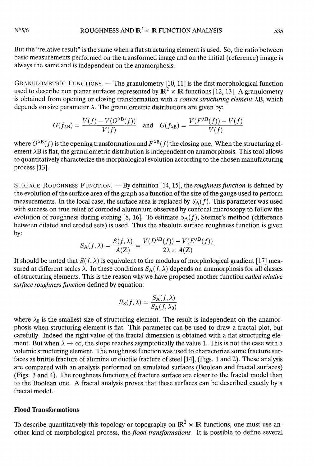But the "relative result" is the same when a flat structuring element is used. So, the ratio between basic measurements performed on the transformed image and on the initial (reference) image is always the same and is independent on the anamorphosis.

GRANULOMETRIC FUNCTIONS. — The granulometry [10, 11] is the first morphological function used to describe non planar surfaces represented by  $\mathbb{R}^2 \times \mathbb{R}$  functions [12, 13]. A granulometry is obtained from opening or closing transformation with *a convex structuring element*  $\lambda$ B, which depends on size parameter  $\lambda$ . The granulometric distributions are given by:

$$
G(f_{\lambda B}) = \frac{V(f) - V(O^{\lambda B}(f))}{V(f)} \quad \text{and} \quad G(f_{\lambda B}) = \frac{V(F^{\lambda B}(f)) - V(f)}{V(f)}
$$

where  $O^{\lambda B}(f)$  is the opening transformation and  $F^{\lambda B}(f)$  the closing one. When the structuring element ÀB is flat, the granulometric distribution is independent on anamorphosis. This tool allows to quantitatively characterize the morphological evolution according to the chosen manufacturing process[13].

SURFACE ROUGHNESS FUNCTION. — By definition  $[14, 15]$ , the *roughness function* is defined by the evolution of the surface area of the graph as a function of the size of the gauge used to perform measurements. In the local case, the surface area is replaced by  $S_A(f)$ . This parameter was used with success on true relief of corroded aluminium observed by confocal microscopy to follow the evolution of roughness during etching [8, 16]. To estimate  $S_A(f)$ , Steiner's method (difference between dilated and eroded sets) is used. Thus the absolute surface roughness function is given by:

$$
S_{\mathbf{A}}(f,\lambda) = \frac{S(f,\lambda)}{A(\mathbf{Z})} = \frac{V(D^{\lambda \mathbf{B}}(f)) - V(E^{\lambda \mathbf{B}}(f))}{2\lambda \times A(\mathbf{Z})}.
$$

It should be noted that  $S(f, \lambda)$  is equivalent to the modulus of morphological gradient [17] measured at different scales  $\lambda$ . In these conditions  $S_A(f, \lambda)$  depends on anamorphosis for all classes of structuring elements. This is the reason why we have proposed another function called relative surface roughness function defined by equation:

$$
R_{\rm S}(f,\lambda) = \frac{S_{\rm A}(f,\lambda)}{S_{\rm A}(f,\lambda_0)}
$$

where  $\lambda_0$  is the smallest size of structuring element. The result is independent on the anamorphosis when structuring element is flat. This parameter can be used to draw a fractal plot, but carefully. Indeed the right value of the fractal dimension is obtained with a flat structuring element. But when  $\lambda \to \infty$ , the slope reaches asymptotically the value 1. This is not the case with a volumic structuring element. The roughness function was used to characterize some fracture surfaces as brittle fracture of alumina or ductile fracture of steel [14], (Figs. 1 and 2). These analysis are compared with an analysis performed on simulated surfaces (Boolean and fractal surfaces) (Figs. 3 and 4). The roughness functions of fracture surface are closer to the fractal model than to the Boolean one. A fractal analysis proves that these surfaces can be described exactly by a fractal model.

#### Flood Transformations

To describe quantitatively this topology or topography on  $\mathbb{R}^2 \times \mathbb{R}$  functions, one must use another kind of morphological process, the *flood transformations*. It is possible to define several

 $N°5/6$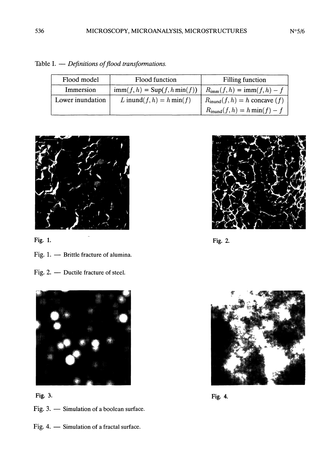| Flood model      | Flood function                                | <b>Filling function</b>                           |
|------------------|-----------------------------------------------|---------------------------------------------------|
| Immersion        | $\text{imm}(f, h) = \text{Sup}(f, h \min(f))$ | $R_{\text{imm}}(f, h) = \text{imm}(f, h) - f$     |
| Lower inundation | L inund $(f, h) = h \min(f)$                  | $R_{\text{inund}}(f, h) = h \text{ concave } (f)$ |
|                  |                                               | $R_{\text{inund}}(f,h) = h \min(f) - f$           |

Table I.  $-$  Definitions of flood transformations.



- Fig. 1.  $-$  Brittle fracture of alumina.
- Fig. 2. Ductile fracture of steel.



Fig. 3. - Simulation of a boolean surface.

Fig. 4.  $-$  Simulation of a fractal surface.

 $Fig. 1.$ 



Fig. 3. Fig. 4.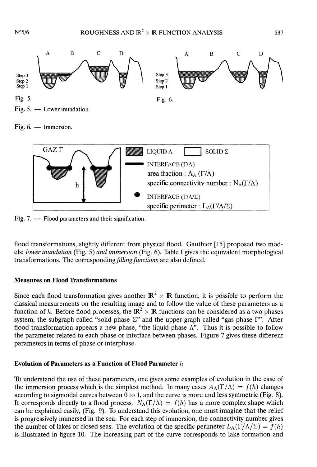

Fig.  $6.$  - Immersion.



Fig. 7.  $-$  Flood parameters and their signification.

flood transformations, slightly different from physical flood. Gauthier [15] proposed two models: lower inundation (Fig. 5) and immersion (Fig. 6). Table I gives the equivalent morphological transformations. The corresponding filling functions are also defined.

#### Measures on Flood Transformations

Since each flood transformation gives another  $\mathbb{R}^2 \times \mathbb{R}$  function, it is possible to perform the classical measurements on the resulting image and to follow the value of these parameters as a function of h. Before flood processes, the  $\mathbb{R}^2 \times \mathbb{R}$  functions can be considered as a two phases system, the subgraph called "solid phase  $\Sigma$ " and the upper graph called "gas phase  $\Gamma$ ". After flood transformation appears a new phase, "the liquid phase  $\Lambda$ ". Thus it is possible to follow the parameter related to each phase or interface between phases. Figure 7 gives these different parameters in terms of phase or interphase.

# Evolution of Parameters as a Function of Flood Parameter h

To understand the use of these parameters, one gives some examples of evolution in the case of the immersion process which is the simplest method. In many cases  $A_A(\Gamma/\Lambda) = f(h)$  changes according to sigmoïdal curves between 0 to 1, and the curve is more and less symmetric (Fig. 8). It corresponds directly to a flood process.  $N_A(\Gamma/\Lambda) = f(h)$  has a more complex shape which can be explained easily, (Fig. 9). To understand this evolution, one must imagine that the relief is progressively immersed in the sea. For each step of immersion, the connectivity number gives the number of lakes or closed seas. The evolution of the specific perimeter  $L_A(\Gamma/\Lambda/\Sigma) = f(h)$ is illustrated in figure 10. The increasing part of the curve corresponds to lake formation and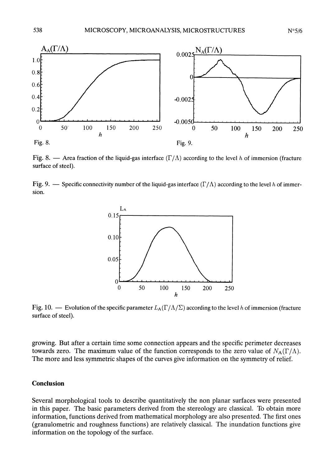

Fig. 8.  $-$  Area fraction of the liquid-gas interface ( $\Gamma/\Lambda$ ) according to the level h of immersion (fracture surface of steel).

Fig. 9.  $\rightarrow$  Specific connectivity number of the liquid-gas interface ( $\Gamma/\Lambda$ ) according to the level h of immersion.



Fig. 10. — Evolution of the specific parameter  $L_A(\Gamma/\Lambda/\Sigma)$  according to the level h of immersion (fracture surface of steel).

growing. But after a certain time some connection appears and the specific perimeter decreases towards zero. The maximum value of the function corresponds to the zero value of  $N_A(\Gamma/\Lambda)$ . The more and less symmetric shapes of the curves give information on the symmetry of relief.

## Conclusion

Several morphological tools to describe quantitatively the non planar surfaces were presented in this paper. The basic parameters derived from the stereology are classical. To obtain more information, functions derived from mathematical morphology are also presented. The first ones (granulometric and roughness functions) are relatively classical. The inundation functions give information on the topology of the surface.